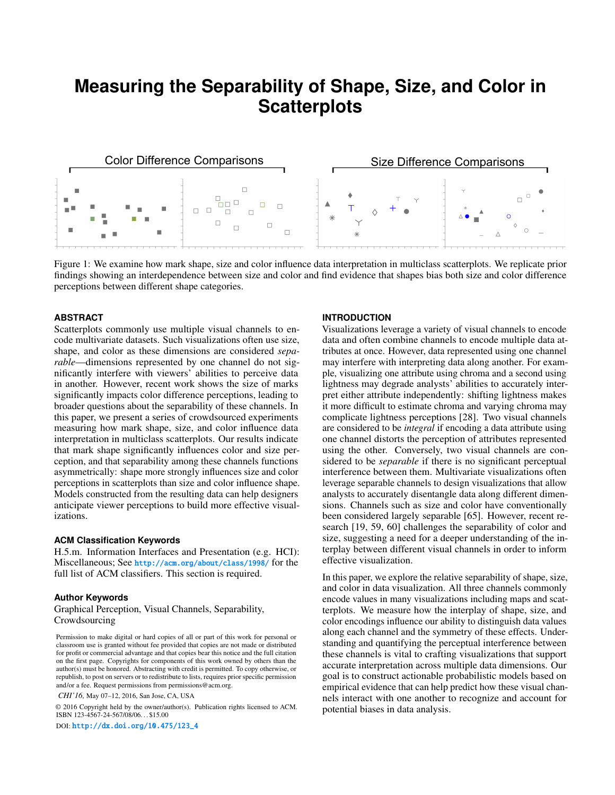# **Measuring the Separability of Shape, Size, and Color in Scatterplots**



Figure 1: We examine how mark shape, size and color influence data interpretation in multiclass scatterplots. We replicate prior findings showing an interdependence between size and color and find evidence that shapes bias both size and color difference perceptions between different shape categories.

# **ABSTRACT**

Scatterplots commonly use multiple visual channels to encode multivariate datasets. Such visualizations often use size, shape, and color as these dimensions are considered *separable*—dimensions represented by one channel do not significantly interfere with viewers' abilities to perceive data in another. However, recent work shows the size of marks significantly impacts color difference perceptions, leading to broader questions about the separability of these channels. In this paper, we present a series of crowdsourced experiments measuring how mark shape, size, and color influence data interpretation in multiclass scatterplots. Our results indicate that mark shape significantly influences color and size perception, and that separability among these channels functions asymmetrically: shape more strongly influences size and color perceptions in scatterplots than size and color influence shape. Models constructed from the resulting data can help designers anticipate viewer perceptions to build more effective visualizations.

# **ACM Classification Keywords**

H.5.m. Information Interfaces and Presentation (e.g. HCI): Miscellaneous; See <http://acm.org/about/class/1998/> for the full list of ACM classifiers. This section is required.

#### **Author Keywords**

Graphical Perception, Visual Channels, Separability, Crowdsourcing

Permission to make digital or hard copies of all or part of this work for personal or classroom use is granted without fee provided that copies are not made or distributed for profit or commercial advantage and that copies bear this notice and the full citation on the first page. Copyrights for components of this work owned by others than the author(s) must be honored. Abstracting with credit is permitted. To copy otherwise, or republish, to post on servers or to redistribute to lists, requires prior specific permission and/or a fee. Request permissions from permissions@acm.org.

*CHI'16,* May 07–12, 2016, San Jose, CA, USA

© 2016 Copyright held by the owner/author(s). Publication rights licensed to ACM. ISBN 123-4567-24-567/08/06. . . \$15.00

DOI: [http://dx.doi.org/10.475/123\\_4](http://dx.doi.org/10.475/123_4)

#### **INTRODUCTION**

Visualizations leverage a variety of visual channels to encode data and often combine channels to encode multiple data attributes at once. However, data represented using one channel may interfere with interpreting data along another. For example, visualizing one attribute using chroma and a second using lightness may degrade analysts' abilities to accurately interpret either attribute independently: shifting lightness makes it more difficult to estimate chroma and varying chroma may complicate lightness perceptions [\[28\]](#page-10-0). Two visual channels are considered to be *integral* if encoding a data attribute using one channel distorts the perception of attributes represented using the other. Conversely, two visual channels are considered to be *separable* if there is no significant perceptual interference between them. Multivariate visualizations often leverage separable channels to design visualizations that allow analysts to accurately disentangle data along different dimensions. Channels such as size and color have conventionally been considered largely separable [\[65\]](#page-12-0). However, recent research [\[19,](#page-10-1) [59,](#page-12-1) [60\]](#page-12-2) challenges the separability of color and size, suggesting a need for a deeper understanding of the interplay between different visual channels in order to inform effective visualization.

In this paper, we explore the relative separability of shape, size, and color in data visualization. All three channels commonly encode values in many visualizations including maps and scatterplots. We measure how the interplay of shape, size, and color encodings influence our ability to distinguish data values along each channel and the symmetry of these effects. Understanding and quantifying the perceptual interference between these channels is vital to crafting visualizations that support accurate interpretation across multiple data dimensions. Our goal is to construct actionable probabilistic models based on empirical evidence that can help predict how these visual channels interact with one another to recognize and account for potential biases in data analysis.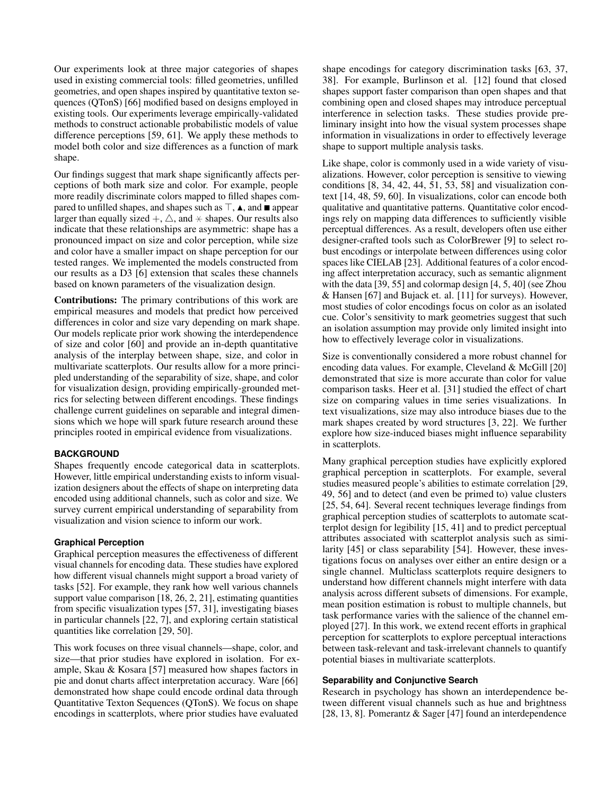Our experiments look at three major categories of shapes used in existing commercial tools: filled geometries, unfilled geometries, and open shapes inspired by quantitative texton sequences (QTonS) [\[66\]](#page-12-3) modified based on designs employed in existing tools. Our experiments leverage empirically-validated methods to construct actionable probabilistic models of value difference perceptions [\[59,](#page-12-1) [61\]](#page-12-4). We apply these methods to model both color and size differences as a function of mark shape.

Our findings suggest that mark shape significantly affects perceptions of both mark size and color. For example, people more readily discriminate colors mapped to filled shapes compared to unfilled shapes, and shapes such as  $\top$ ,  $\blacktriangle$ , and  $\blacksquare$  appear larger than equally sized  $+$ ,  $\triangle$ , and  $\angle$  shapes. Our results also indicate that these relationships are asymmetric: shape has a pronounced impact on size and color perception, while size and color have a smaller impact on shape perception for our tested ranges. We implemented the models constructed from our results as a D3 [\[6\]](#page-10-2) extension that scales these channels based on known parameters of the visualization design.

Contributions: The primary contributions of this work are empirical measures and models that predict how perceived differences in color and size vary depending on mark shape. Our models replicate prior work showing the interdependence of size and color [\[60\]](#page-12-2) and provide an in-depth quantitative analysis of the interplay between shape, size, and color in multivariate scatterplots. Our results allow for a more principled understanding of the separability of size, shape, and color for visualization design, providing empirically-grounded metrics for selecting between different encodings. These findings challenge current guidelines on separable and integral dimensions which we hope will spark future research around these principles rooted in empirical evidence from visualizations.

# **BACKGROUND**

Shapes frequently encode categorical data in scatterplots. However, little empirical understanding exists to inform visualization designers about the effects of shape on interpreting data encoded using additional channels, such as color and size. We survey current empirical understanding of separability from visualization and vision science to inform our work.

# **Graphical Perception**

Graphical perception measures the effectiveness of different visual channels for encoding data. These studies have explored how different visual channels might support a broad variety of tasks [\[52\]](#page-11-0). For example, they rank how well various channels support value comparison [\[18,](#page-10-3) [26,](#page-10-4) [2,](#page-9-0) [21\]](#page-10-5), estimating quantities from specific visualization types [\[57,](#page-12-5) [31\]](#page-11-1), investigating biases in particular channels [\[22,](#page-10-6) [7\]](#page-10-7), and exploring certain statistical quantities like correlation [\[29,](#page-10-8) [50\]](#page-11-2).

This work focuses on three visual channels—shape, color, and size—that prior studies have explored in isolation. For example, Skau & Kosara [\[57\]](#page-12-5) measured how shapes factors in pie and donut charts affect interpretation accuracy. Ware [\[66\]](#page-12-3) demonstrated how shape could encode ordinal data through Quantitative Texton Sequences (QTonS). We focus on shape encodings in scatterplots, where prior studies have evaluated

shape encodings for category discrimination tasks [\[63,](#page-12-6) [37,](#page-11-3) [38\]](#page-11-4). For example, Burlinson et al. [\[12\]](#page-10-9) found that closed shapes support faster comparison than open shapes and that combining open and closed shapes may introduce perceptual interference in selection tasks. These studies provide preliminary insight into how the visual system processes shape information in visualizations in order to effectively leverage shape to support multiple analysis tasks.

Like shape, color is commonly used in a wide variety of visualizations. However, color perception is sensitive to viewing conditions [\[8,](#page-10-10) [34,](#page-11-5) [42,](#page-11-6) [44,](#page-11-7) [51,](#page-11-8) [53,](#page-11-9) [58\]](#page-12-7) and visualization context [\[14,](#page-10-11) [48,](#page-11-10) [59,](#page-12-1) [60\]](#page-12-2). In visualizations, color can encode both qualitative and quantitative patterns. Quantitative color encodings rely on mapping data differences to sufficiently visible perceptual differences. As a result, developers often use either designer-crafted tools such as ColorBrewer [\[9\]](#page-10-12) to select robust encodings or interpolate between differences using color spaces like CIELAB [\[23\]](#page-10-13). Additional features of a color encoding affect interpretation accuracy, such as semantic alignment with the data [\[39,](#page-11-11) [55\]](#page-11-12) and colormap design [\[4,](#page-9-1) [5,](#page-9-2) [40\]](#page-11-13) (see Zhou & Hansen [\[67\]](#page-12-8) and Bujack et. al. [\[11\]](#page-10-14) for surveys). However, most studies of color encodings focus on color as an isolated cue. Color's sensitivity to mark geometries suggest that such an isolation assumption may provide only limited insight into how to effectively leverage color in visualizations.

Size is conventionally considered a more robust channel for encoding data values. For example, Cleveland & McGill [\[20\]](#page-10-15) demonstrated that size is more accurate than color for value comparison tasks. Heer et al. [\[31\]](#page-11-1) studied the effect of chart size on comparing values in time series visualizations. In text visualizations, size may also introduce biases due to the mark shapes created by word structures [\[3,](#page-9-3) [22\]](#page-10-6). We further explore how size-induced biases might influence separability in scatterplots.

Many graphical perception studies have explicitly explored graphical perception in scatterplots. For example, several studies measured people's abilities to estimate correlation [\[29,](#page-10-8) [49,](#page-11-14) [56\]](#page-11-15) and to detect (and even be primed to) value clusters [\[25,](#page-10-16) [54,](#page-11-16) [64\]](#page-12-9). Several recent techniques leverage findings from graphical perception studies of scatterplots to automate scatterplot design for legibility [\[15,](#page-10-17) [41\]](#page-11-17) and to predict perceptual attributes associated with scatterplot analysis such as similarity [\[45\]](#page-11-18) or class separability [\[54\]](#page-11-16). However, these investigations focus on analyses over either an entire design or a single channel. Multiclass scatterplots require designers to understand how different channels might interfere with data analysis across different subsets of dimensions. For example, mean position estimation is robust to multiple channels, but task performance varies with the salience of the channel employed [\[27\]](#page-10-18). In this work, we extend recent efforts in graphical perception for scatterplots to explore perceptual interactions between task-relevant and task-irrelevant channels to quantify potential biases in multivariate scatterplots.

# **Separability and Conjunctive Search**

Research in psychology has shown an interdependence between different visual channels such as hue and brightness [\[28,](#page-10-0) [13,](#page-10-19) [8\]](#page-10-10). Pomerantz & Sager [\[47\]](#page-11-19) found an interdependence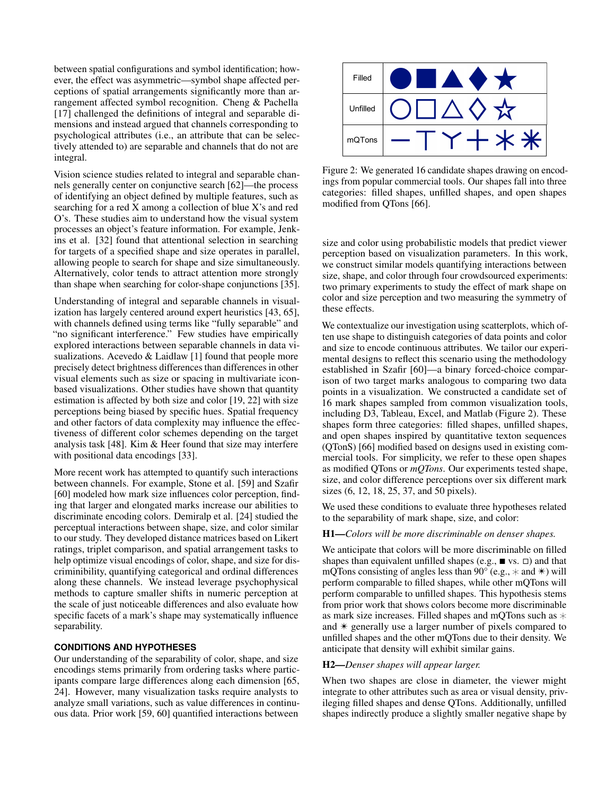between spatial configurations and symbol identification; however, the effect was asymmetric—symbol shape affected perceptions of spatial arrangements significantly more than arrangement affected symbol recognition. Cheng & Pachella [\[17\]](#page-10-20) challenged the definitions of integral and separable dimensions and instead argued that channels corresponding to psychological attributes (i.e., an attribute that can be selectively attended to) are separable and channels that do not are integral.

Vision science studies related to integral and separable channels generally center on conjunctive search [\[62\]](#page-12-10)—the process of identifying an object defined by multiple features, such as searching for a red X among a collection of blue X's and red O's. These studies aim to understand how the visual system processes an object's feature information. For example, Jenkins et al. [\[32\]](#page-11-20) found that attentional selection in searching for targets of a specified shape and size operates in parallel, allowing people to search for shape and size simultaneously. Alternatively, color tends to attract attention more strongly than shape when searching for color-shape conjunctions [\[35\]](#page-11-21).

Understanding of integral and separable channels in visualization has largely centered around expert heuristics [\[43,](#page-11-22) [65\]](#page-12-0), with channels defined using terms like "fully separable" and "no significant interference." Few studies have empirically explored interactions between separable channels in data vi-sualizations. Acevedo & Laidlaw [\[1\]](#page-9-4) found that people more precisely detect brightness differences than differences in other visual elements such as size or spacing in multivariate iconbased visualizations. Other studies have shown that quantity estimation is affected by both size and color [\[19,](#page-10-1) [22\]](#page-10-6) with size perceptions being biased by specific hues. Spatial frequency and other factors of data complexity may influence the effectiveness of different color schemes depending on the target analysis task [\[48\]](#page-11-10). Kim & Heer found that size may interfere with positional data encodings [\[33\]](#page-11-23).

More recent work has attempted to quantify such interactions between channels. For example, Stone et al. [\[59\]](#page-12-1) and Szafir [\[60\]](#page-12-2) modeled how mark size influences color perception, finding that larger and elongated marks increase our abilities to discriminate encoding colors. Demiralp et al. [\[24\]](#page-10-21) studied the perceptual interactions between shape, size, and color similar to our study. They developed distance matrices based on Likert ratings, triplet comparison, and spatial arrangement tasks to help optimize visual encodings of color, shape, and size for discriminibility, quantifying categorical and ordinal differences along these channels. We instead leverage psychophysical methods to capture smaller shifts in numeric perception at the scale of just noticeable differences and also evaluate how specific facets of a mark's shape may systematically influence separability.

# **CONDITIONS AND HYPOTHESES**

Our understanding of the separability of color, shape, and size encodings stems primarily from ordering tasks where participants compare large differences along each dimension [\[65,](#page-12-0) [24\]](#page-10-21). However, many visualization tasks require analysts to analyze small variations, such as value differences in continuous data. Prior work [\[59,](#page-12-1) [60\]](#page-12-2) quantified interactions between

<span id="page-2-0"></span>

Figure 2: We generated 16 candidate shapes drawing on encodings from popular commercial tools. Our shapes fall into three categories: filled shapes, unfilled shapes, and open shapes modified from QTons [\[66\]](#page-12-3).

size and color using probabilistic models that predict viewer perception based on visualization parameters. In this work, we construct similar models quantifying interactions between size, shape, and color through four crowdsourced experiments: two primary experiments to study the effect of mark shape on color and size perception and two measuring the symmetry of these effects.

We contextualize our investigation using scatterplots, which often use shape to distinguish categories of data points and color and size to encode continuous attributes. We tailor our experimental designs to reflect this scenario using the methodology established in Szafir [\[60\]](#page-12-2)—a binary forced-choice comparison of two target marks analogous to comparing two data points in a visualization. We constructed a candidate set of 16 mark shapes sampled from common visualization tools, including D3, Tableau, Excel, and Matlab (Figure [2\)](#page-2-0). These shapes form three categories: filled shapes, unfilled shapes, and open shapes inspired by quantitative texton sequences (QTonS) [\[66\]](#page-12-3) modified based on designs used in existing commercial tools. For simplicity, we refer to these open shapes as modified QTons or *mQTons*. Our experiments tested shape, size, and color difference perceptions over six different mark sizes (6, 12, 18, 25, 37, and 50 pixels).

We used these conditions to evaluate three hypotheses related to the separability of mark shape, size, and color:

# H1—*Colors will be more discriminable on denser shapes.*

We anticipate that colors will be more discriminable on filled shapes than equivalent unfilled shapes (e.g.,  $\blacksquare$  vs.  $\square$ ) and that mQTons consisting of angles less than 90 $^{\circ}$  (e.g.,  $*$  and  $*$ ) will perform comparable to filled shapes, while other mQTons will perform comparable to unfilled shapes. This hypothesis stems from prior work that shows colors become more discriminable as mark size increases. Filled shapes and mQTons such as  $*$ and  $*$  generally use a larger number of pixels compared to unfilled shapes and the other mQTons due to their density. We anticipate that density will exhibit similar gains.

# H2—*Denser shapes will appear larger.*

When two shapes are close in diameter, the viewer might integrate to other attributes such as area or visual density, privileging filled shapes and dense QTons. Additionally, unfilled shapes indirectly produce a slightly smaller negative shape by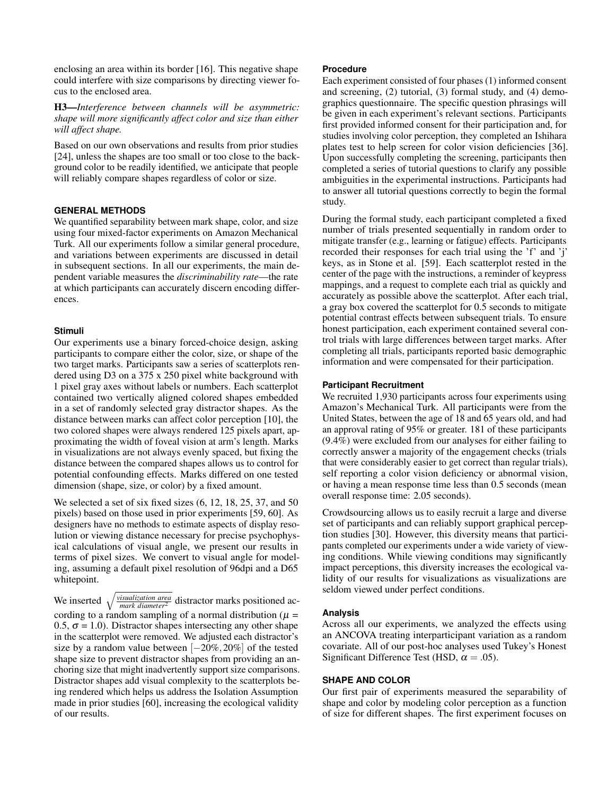enclosing an area within its border [\[16\]](#page-10-22). This negative shape could interfere with size comparisons by directing viewer focus to the enclosed area.

H3—*Interference between channels will be asymmetric: shape will more significantly affect color and size than either will affect shape.*

Based on our own observations and results from prior studies [\[24\]](#page-10-21), unless the shapes are too small or too close to the background color to be readily identified, we anticipate that people will reliably compare shapes regardless of color or size.

# **GENERAL METHODS**

We quantified separability between mark shape, color, and size using four mixed-factor experiments on Amazon Mechanical Turk. All our experiments follow a similar general procedure, and variations between experiments are discussed in detail in subsequent sections. In all our experiments, the main dependent variable measures the *discriminability rate*—the rate at which participants can accurately discern encoding differences.

# **Stimuli**

Our experiments use a binary forced-choice design, asking participants to compare either the color, size, or shape of the two target marks. Participants saw a series of scatterplots rendered using D3 on a 375 x 250 pixel white background with 1 pixel gray axes without labels or numbers. Each scatterplot contained two vertically aligned colored shapes embedded in a set of randomly selected gray distractor shapes. As the distance between marks can affect color perception [\[10\]](#page-10-23), the two colored shapes were always rendered 125 pixels apart, approximating the width of foveal vision at arm's length. Marks in visualizations are not always evenly spaced, but fixing the distance between the compared shapes allows us to control for potential confounding effects. Marks differed on one tested dimension (shape, size, or color) by a fixed amount.

We selected a set of six fixed sizes  $(6, 12, 18, 25, 37,$  and  $50$ pixels) based on those used in prior experiments [\[59,](#page-12-1) [60\]](#page-12-2). As designers have no methods to estimate aspects of display resolution or viewing distance necessary for precise psychophysical calculations of visual angle, we present our results in terms of pixel sizes. We convert to visual angle for modeling, assuming a default pixel resolution of 96dpi and a D65 whitepoint.

We inserted  $\sqrt{\frac{visualization \ area}{mark diameter^2}}$  distractor marks positioned according to a random sampling of a normal distribution ( $\mu$  = 0.5,  $\sigma$  = 1.0). Distractor shapes intersecting any other shape in the scatterplot were removed. We adjusted each distractor's size by a random value between  $[-20\%, 20\%]$  of the tested shape size to prevent distractor shapes from providing an anchoring size that might inadvertently support size comparisons. Distractor shapes add visual complexity to the scatterplots being rendered which helps us address the Isolation Assumption made in prior studies [\[60\]](#page-12-2), increasing the ecological validity of our results.

# **Procedure**

Each experiment consisted of four phases (1) informed consent and screening, (2) tutorial, (3) formal study, and (4) demographics questionnaire. The specific question phrasings will be given in each experiment's relevant sections. Participants first provided informed consent for their participation and, for studies involving color perception, they completed an Ishihara plates test to help screen for color vision deficiencies [\[36\]](#page-11-24). Upon successfully completing the screening, participants then completed a series of tutorial questions to clarify any possible ambiguities in the experimental instructions. Participants had to answer all tutorial questions correctly to begin the formal study.

During the formal study, each participant completed a fixed number of trials presented sequentially in random order to mitigate transfer (e.g., learning or fatigue) effects. Participants recorded their responses for each trial using the 'f' and 'j' keys, as in Stone et al. [\[59\]](#page-12-1). Each scatterplot rested in the center of the page with the instructions, a reminder of keypress mappings, and a request to complete each trial as quickly and accurately as possible above the scatterplot. After each trial, a gray box covered the scatterplot for 0.5 seconds to mitigate potential contrast effects between subsequent trials. To ensure honest participation, each experiment contained several control trials with large differences between target marks. After completing all trials, participants reported basic demographic information and were compensated for their participation.

# **Participant Recruitment**

We recruited 1,930 participants across four experiments using Amazon's Mechanical Turk. All participants were from the United States, between the age of 18 and 65 years old, and had an approval rating of 95% or greater. 181 of these participants (9.4%) were excluded from our analyses for either failing to correctly answer a majority of the engagement checks (trials that were considerably easier to get correct than regular trials), self reporting a color vision deficiency or abnormal vision, or having a mean response time less than 0.5 seconds (mean overall response time: 2.05 seconds).

Crowdsourcing allows us to easily recruit a large and diverse set of participants and can reliably support graphical perception studies [\[30\]](#page-10-24). However, this diversity means that participants completed our experiments under a wide variety of viewing conditions. While viewing conditions may significantly impact perceptions, this diversity increases the ecological validity of our results for visualizations as visualizations are seldom viewed under perfect conditions.

# **Analysis**

Across all our experiments, we analyzed the effects using an ANCOVA treating interparticipant variation as a random covariate. All of our post-hoc analyses used Tukey's Honest Significant Difference Test (HSD,  $\alpha = .05$ ).

# **SHAPE AND COLOR**

Our first pair of experiments measured the separability of shape and color by modeling color perception as a function of size for different shapes. The first experiment focuses on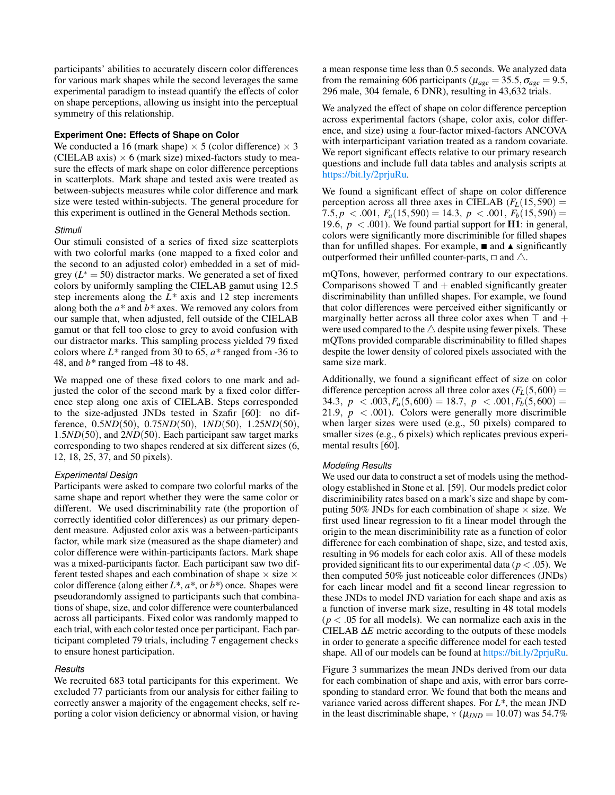participants' abilities to accurately discern color differences for various mark shapes while the second leverages the same experimental paradigm to instead quantify the effects of color on shape perceptions, allowing us insight into the perceptual symmetry of this relationship.

# **Experiment One: Effects of Shape on Color**

We conducted a 16 (mark shape)  $\times$  5 (color difference)  $\times$  3 (CIELAB axis)  $\times$  6 (mark size) mixed-factors study to measure the effects of mark shape on color difference perceptions in scatterplots. Mark shape and tested axis were treated as between-subjects measures while color difference and mark size were tested within-subjects. The general procedure for this experiment is outlined in the General Methods section.

# *Stimuli*

Our stimuli consisted of a series of fixed size scatterplots with two colorful marks (one mapped to a fixed color and the second to an adjusted color) embedded in a set of midgrey  $(L^* = 50)$  distractor marks. We generated a set of fixed colors by uniformly sampling the CIELAB gamut using 12.5 step increments along the *L\** axis and 12 step increments along both the *a\** and *b\** axes. We removed any colors from our sample that, when adjusted, fell outside of the CIELAB gamut or that fell too close to grey to avoid confusion with our distractor marks. This sampling process yielded 79 fixed colors where *L\** ranged from 30 to 65, *a\** ranged from -36 to 48, and *b\** ranged from -48 to 48.

We mapped one of these fixed colors to one mark and adjusted the color of the second mark by a fixed color difference step along one axis of CIELAB. Steps corresponded to the size-adjusted JNDs tested in Szafir [\[60\]](#page-12-2): no difference, 0.5*ND*(50), 0.75*ND*(50), 1*ND*(50), 1.25*ND*(50), 1.5*ND*(50), and 2*ND*(50). Each participant saw target marks corresponding to two shapes rendered at six different sizes (6, 12, 18, 25, 37, and 50 pixels).

# *Experimental Design*

Participants were asked to compare two colorful marks of the same shape and report whether they were the same color or different. We used discriminability rate (the proportion of correctly identified color differences) as our primary dependent measure. Adjusted color axis was a between-participants factor, while mark size (measured as the shape diameter) and color difference were within-participants factors. Mark shape was a mixed-participants factor. Each participant saw two different tested shapes and each combination of shape  $\times$  size  $\times$ color difference (along either *L\**, *a\**, or *b\**) once. Shapes were pseudorandomly assigned to participants such that combinations of shape, size, and color difference were counterbalanced across all participants. Fixed color was randomly mapped to each trial, with each color tested once per participant. Each participant completed 79 trials, including 7 engagement checks to ensure honest participation.

# *Results*

We recruited 683 total participants for this experiment. We excluded 77 particiants from our analysis for either failing to correctly answer a majority of the engagement checks, self reporting a color vision deficiency or abnormal vision, or having

a mean response time less than 0.5 seconds. We analyzed data from the remaining 606 participants ( $\mu_{age} = 35.5, \sigma_{age} = 9.5$ , 296 male, 304 female, 6 DNR), resulting in 43,632 trials.

We analyzed the effect of shape on color difference perception across experimental factors (shape, color axis, color difference, and size) using a four-factor mixed-factors ANCOVA with interparticipant variation treated as a random covariate. We report significant effects relative to our primary research questions and include full data tables and analysis scripts at [https://bit.ly/2prjuRu.](https://bit.ly/2prjuRu)

We found a significant effect of shape on color difference perception across all three axes in CIELAB  $(F_L(15,590) =$ 7.5,  $p < .001$ ,  $F_a(15,590) = 14.3$ ,  $p < .001$ ,  $F_b(15,590) =$ 19.6,  $p < .001$ ). We found partial support for **H1**: in general, colors were significantly more discriminible for filled shapes than for unfilled shapes. For example,  $\blacksquare$  and  $\blacktriangle$  significantly outperformed their unfilled counter-parts,  $\Box$  and  $\triangle$ .

mQTons, however, performed contrary to our expectations. Comparisons showed  $\top$  and  $+$  enabled significantly greater discriminability than unfilled shapes. For example, we found that color differences were perceived either significantly or marginally better across all three color axes when  $\top$  and  $+$ were used compared to the  $\triangle$  despite using fewer pixels. These mQTons provided comparable discriminability to filled shapes despite the lower density of colored pixels associated with the same size mark.

Additionally, we found a significant effect of size on color difference perception across all three color axes  $(F_L(5,600) =$ 34.3,  $p < .003$ ,  $F_a(5,600) = 18.7$ ,  $p < .001$ ,  $F_b(5,600) =$ 21.9,  $p < .001$ ). Colors were generally more discrimible when larger sizes were used (e.g., 50 pixels) compared to smaller sizes (e.g., 6 pixels) which replicates previous experimental results [\[60\]](#page-12-2).

# *Modeling Results*

We used our data to construct a set of models using the methodology established in Stone et al. [\[59\]](#page-12-1). Our models predict color discriminibility rates based on a mark's size and shape by computing 50% JNDs for each combination of shape  $\times$  size. We first used linear regression to fit a linear model through the origin to the mean discriminibility rate as a function of color difference for each combination of shape, size, and tested axis, resulting in 96 models for each color axis. All of these models provided significant fits to our experimental data ( $p < .05$ ). We then computed 50% just noticeable color differences (JNDs) for each linear model and fit a second linear regression to these JNDs to model JND variation for each shape and axis as a function of inverse mark size, resulting in 48 total models  $(p < .05$  for all models). We can normalize each axis in the CIELAB ∆*E* metric according to the outputs of these models in order to generate a specific difference model for each tested shape. All of our models can be found at [https://bit.ly/2prjuRu.](https://bit.ly/2prjuRu)

Figure [3](#page-5-0) summarizes the mean JNDs derived from our data for each combination of shape and axis, with error bars corresponding to standard error. We found that both the means and variance varied across different shapes. For *L\**, the mean JND in the least discriminable shape,  $\gamma$  ( $\mu_{JND}$  = 10.07) was 54.7%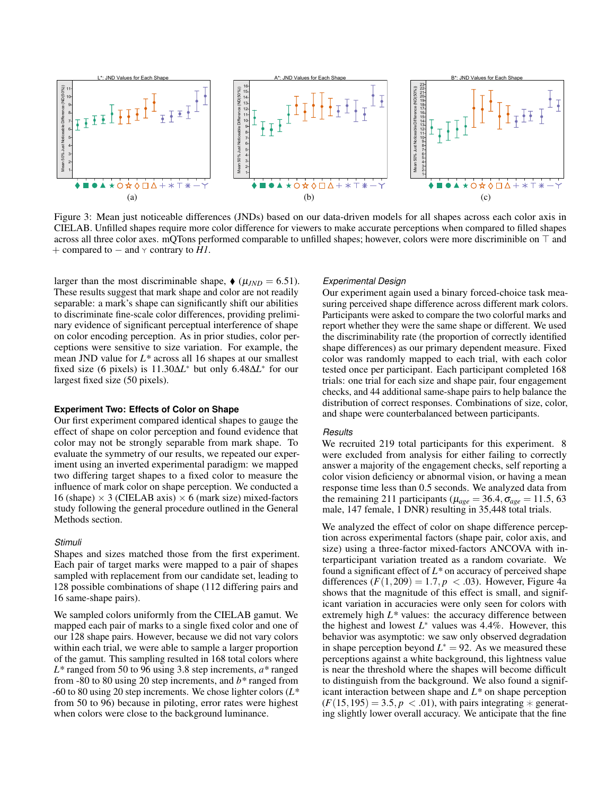<span id="page-5-0"></span>

Figure 3: Mean just noticeable differences (JNDs) based on our data-driven models for all shapes across each color axis in CIELAB. Unfilled shapes require more color difference for viewers to make accurate perceptions when compared to filled shapes across all three color axes. mQTons performed comparable to unfilled shapes; however, colors were more discriminible on  $\top$  and  $+$  compared to  $-$  and  $\gamma$  contrary to *H1*.

larger than the most discriminable shape,  $\blacklozenge$  ( $\mu_{JND}$  = 6.51). These results suggest that mark shape and color are not readily separable: a mark's shape can significantly shift our abilities to discriminate fine-scale color differences, providing preliminary evidence of significant perceptual interference of shape on color encoding perception. As in prior studies, color perceptions were sensitive to size variation. For example, the mean JND value for *L\** across all 16 shapes at our smallest fixed size (6 pixels) is 11.30Δ*L*<sup>\*</sup> but only 6.48Δ*L*<sup>\*</sup> for our largest fixed size (50 pixels).

#### **Experiment Two: Effects of Color on Shape**

Our first experiment compared identical shapes to gauge the effect of shape on color perception and found evidence that color may not be strongly separable from mark shape. To evaluate the symmetry of our results, we repeated our experiment using an inverted experimental paradigm: we mapped two differing target shapes to a fixed color to measure the influence of mark color on shape perception. We conducted a 16 (shape)  $\times$  3 (CIELAB axis)  $\times$  6 (mark size) mixed-factors study following the general procedure outlined in the General Methods section.

#### *Stimuli*

Shapes and sizes matched those from the first experiment. Each pair of target marks were mapped to a pair of shapes sampled with replacement from our candidate set, leading to 128 possible combinations of shape (112 differing pairs and 16 same-shape pairs).

We sampled colors uniformly from the CIELAB gamut. We mapped each pair of marks to a single fixed color and one of our 128 shape pairs. However, because we did not vary colors within each trial, we were able to sample a larger proportion of the gamut. This sampling resulted in 168 total colors where *L\** ranged from 50 to 96 using 3.8 step increments, *a\** ranged from -80 to 80 using 20 step increments, and *b\** ranged from -60 to 80 using 20 step increments. We chose lighter colors (*L\** from 50 to 96) because in piloting, error rates were highest when colors were close to the background luminance.

# *Experimental Design*

Our experiment again used a binary forced-choice task measuring perceived shape difference across different mark colors. Participants were asked to compare the two colorful marks and report whether they were the same shape or different. We used the discriminability rate (the proportion of correctly identified shape differences) as our primary dependent measure. Fixed color was randomly mapped to each trial, with each color tested once per participant. Each participant completed 168 trials: one trial for each size and shape pair, four engagement checks, and 44 additional same-shape pairs to help balance the distribution of correct responses. Combinations of size, color, and shape were counterbalanced between participants.

#### *Results*

We recruited 219 total participants for this experiment. 8 were excluded from analysis for either failing to correctly answer a majority of the engagement checks, self reporting a color vision deficiency or abnormal vision, or having a mean response time less than 0.5 seconds. We analyzed data from the remaining 211 participants ( $\mu_{age} = 36.4$ ,  $\sigma_{age} = 11.5$ , 63 male, 147 female, 1 DNR) resulting in 35,448 total trials.

We analyzed the effect of color on shape difference perception across experimental factors (shape pair, color axis, and size) using a three-factor mixed-factors ANCOVA with interparticipant variation treated as a random covariate. We found a significant effect of  $L^*$  on accuracy of perceived shape differences  $(F(1,209) = 1.7, p < .03)$ . However, Figure [4a](#page-6-0) shows that the magnitude of this effect is small, and significant variation in accuracies were only seen for colors with extremely high *L\** values: the accuracy difference between the highest and lowest  $L^*$  values was 4.4%. However, this behavior was asymptotic: we saw only observed degradation in shape perception beyond  $L^* = 92$ . As we measured these perceptions against a white background, this lightness value is near the threshold where the shapes will become difficult to distinguish from the background. We also found a significant interaction between shape and *L\** on shape perception  $(F(15, 195) = 3.5, p < .01)$ , with pairs integrating  $*$  generating slightly lower overall accuracy. We anticipate that the fine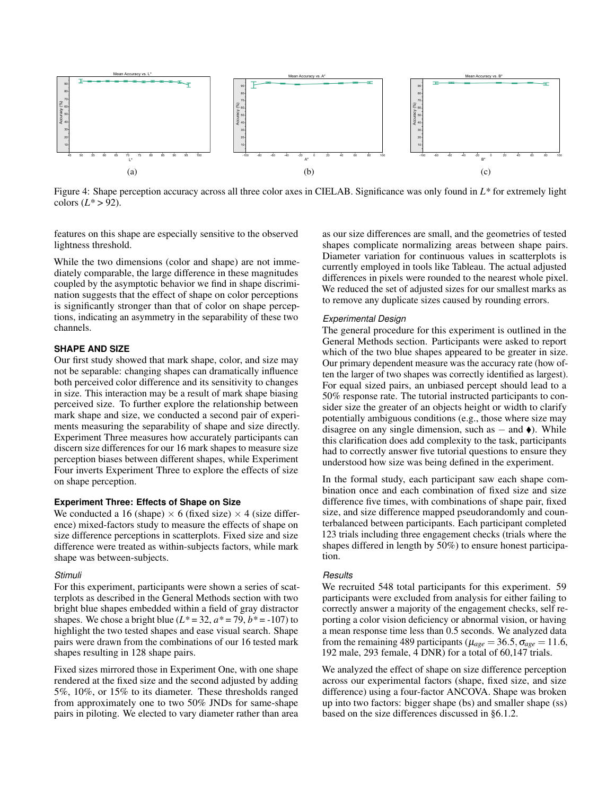<span id="page-6-0"></span>

Figure 4: Shape perception accuracy across all three color axes in CIELAB. Significance was only found in *L\** for extremely light colors (*L\** > 92).

features on this shape are especially sensitive to the observed lightness threshold.

While the two dimensions (color and shape) are not immediately comparable, the large difference in these magnitudes coupled by the asymptotic behavior we find in shape discrimination suggests that the effect of shape on color perceptions is significantly stronger than that of color on shape perceptions, indicating an asymmetry in the separability of these two channels.

# **SHAPE AND SIZE**

Our first study showed that mark shape, color, and size may not be separable: changing shapes can dramatically influence both perceived color difference and its sensitivity to changes in size. This interaction may be a result of mark shape biasing perceived size. To further explore the relationship between mark shape and size, we conducted a second pair of experiments measuring the separability of shape and size directly. Experiment Three measures how accurately participants can discern size differences for our 16 mark shapes to measure size perception biases between different shapes, while Experiment Four inverts Experiment Three to explore the effects of size on shape perception.

# **Experiment Three: Effects of Shape on Size**

We conducted a 16 (shape)  $\times$  6 (fixed size)  $\times$  4 (size difference) mixed-factors study to measure the effects of shape on size difference perceptions in scatterplots. Fixed size and size difference were treated as within-subjects factors, while mark shape was between-subjects.

# *Stimuli*

For this experiment, participants were shown a series of scatterplots as described in the General Methods section with two bright blue shapes embedded within a field of gray distractor shapes. We chose a bright blue  $(L^* = 32, a^* = 79, b^* = -107)$  to highlight the two tested shapes and ease visual search. Shape pairs were drawn from the combinations of our 16 tested mark shapes resulting in 128 shape pairs.

Fixed sizes mirrored those in Experiment One, with one shape rendered at the fixed size and the second adjusted by adding 5%, 10%, or 15% to its diameter. These thresholds ranged from approximately one to two 50% JNDs for same-shape pairs in piloting. We elected to vary diameter rather than area as our size differences are small, and the geometries of tested shapes complicate normalizing areas between shape pairs. Diameter variation for continuous values in scatterplots is currently employed in tools like Tableau. The actual adjusted differences in pixels were rounded to the nearest whole pixel. We reduced the set of adjusted sizes for our smallest marks as to remove any duplicate sizes caused by rounding errors.

## <span id="page-6-1"></span>*Experimental Design*

The general procedure for this experiment is outlined in the General Methods section. Participants were asked to report which of the two blue shapes appeared to be greater in size. Our primary dependent measure was the accuracy rate (how often the larger of two shapes was correctly identified as largest). For equal sized pairs, an unbiased percept should lead to a 50% response rate. The tutorial instructed participants to consider size the greater of an objects height or width to clarify potentially ambiguous conditions (e.g., those where size may disagree on any single dimension, such as  $-$  and  $\bullet$ ). While this clarification does add complexity to the task, participants had to correctly answer five tutorial questions to ensure they understood how size was being defined in the experiment.

In the formal study, each participant saw each shape combination once and each combination of fixed size and size difference five times, with combinations of shape pair, fixed size, and size difference mapped pseudorandomly and counterbalanced between participants. Each participant completed 123 trials including three engagement checks (trials where the shapes differed in length by 50%) to ensure honest participation.

# *Results*

We recruited 548 total participants for this experiment. 59 participants were excluded from analysis for either failing to correctly answer a majority of the engagement checks, self reporting a color vision deficiency or abnormal vision, or having a mean response time less than 0.5 seconds. We analyzed data from the remaining 489 participants ( $\mu_{age} = 36.5, \sigma_{age} = 11.6$ , 192 male, 293 female, 4 DNR) for a total of 60,147 trials.

We analyzed the effect of shape on size difference perception across our experimental factors (shape, fixed size, and size difference) using a four-factor ANCOVA. Shape was broken up into two factors: bigger shape (bs) and smaller shape (ss) based on the size differences discussed in [§6.1.2.](#page-6-1)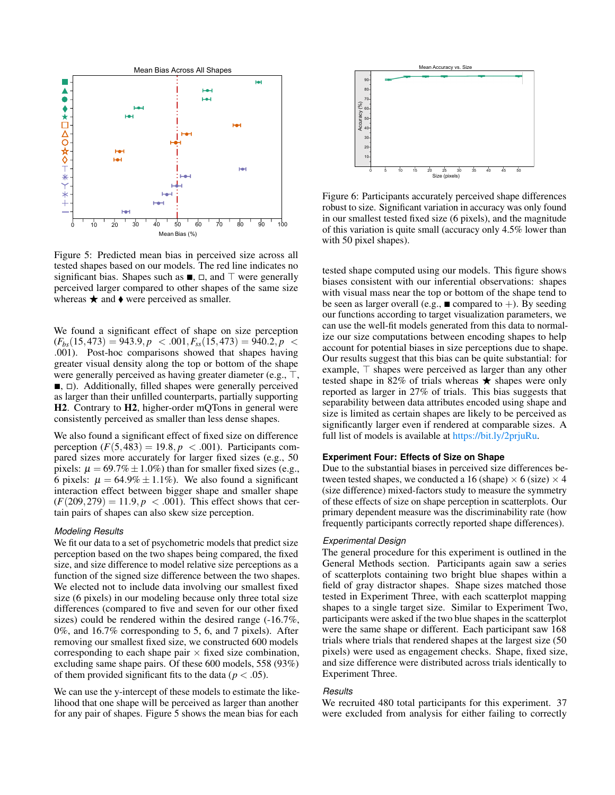<span id="page-7-0"></span>

Figure 5: Predicted mean bias in perceived size across all tested shapes based on our models. The red line indicates no significant bias. Shapes such as  $\blacksquare$ ,  $\Box$ , and  $\top$  were generally perceived larger compared to other shapes of the same size whereas  $\star$  and  $\star$  were perceived as smaller.

We found a significant effect of shape on size perception  $(F_{bs}(15, 473) = 943.9, p \le .001, F_{ss}(15, 473) = 940.2, p \le$ .001). Post-hoc comparisons showed that shapes having greater visual density along the top or bottom of the shape were generally perceived as having greater diameter (e.g.,  $\top$ ,  $\blacksquare$ ,  $\square$ ). Additionally, filled shapes were generally perceived as larger than their unfilled counterparts, partially supporting H2. Contrary to H2, higher-order mQTons in general were consistently perceived as smaller than less dense shapes.

We also found a significant effect of fixed size on difference perception  $(F(5,483) = 19.8, p < .001)$ . Participants compared sizes more accurately for larger fixed sizes (e.g., 50 pixels:  $\mu = 69.7\% \pm 1.0\%$ ) than for smaller fixed sizes (e.g., 6 pixels:  $\mu = 64.9\% \pm 1.1\%$ . We also found a significant interaction effect between bigger shape and smaller shape  $(F(209, 279) = 11.9, p < .001)$ . This effect shows that certain pairs of shapes can also skew size perception.

#### *Modeling Results*

We fit our data to a set of psychometric models that predict size perception based on the two shapes being compared, the fixed size, and size difference to model relative size perceptions as a function of the signed size difference between the two shapes. We elected not to include data involving our smallest fixed size (6 pixels) in our modeling because only three total size differences (compared to five and seven for our other fixed sizes) could be rendered within the desired range (-16.7%, 0%, and 16.7% corresponding to 5, 6, and 7 pixels). After removing our smallest fixed size, we constructed 600 models corresponding to each shape pair  $\times$  fixed size combination, excluding same shape pairs. Of these 600 models, 558 (93%) of them provided significant fits to the data ( $p < .05$ ).

We can use the y-intercept of these models to estimate the likelihood that one shape will be perceived as larger than another for any pair of shapes. Figure [5](#page-7-0) shows the mean bias for each



Figure 6: Participants accurately perceived shape differences robust to size. Significant variation in accuracy was only found in our smallest tested fixed size (6 pixels), and the magnitude of this variation is quite small (accuracy only 4.5% lower than with 50 pixel shapes).

tested shape computed using our models. This figure shows biases consistent with our inferential observations: shapes with visual mass near the top or bottom of the shape tend to be seen as larger overall (e.g.,  $\blacksquare$  compared to +). By seeding our functions according to target visualization parameters, we can use the well-fit models generated from this data to normalize our size computations between encoding shapes to help account for potential biases in size perceptions due to shape. Our results suggest that this bias can be quite substantial: for example,  $\top$  shapes were perceived as larger than any other tested shape in 82% of trials whereas  $\star$  shapes were only reported as larger in 27% of trials. This bias suggests that separability between data attributes encoded using shape and size is limited as certain shapes are likely to be perceived as significantly larger even if rendered at comparable sizes. A full list of models is available at [https://bit.ly/2prjuRu.](https://bit.ly/2prjuRu)

# **Experiment Four: Effects of Size on Shape**

Due to the substantial biases in perceived size differences between tested shapes, we conducted a 16 (shape)  $\times$  6 (size)  $\times$  4 (size difference) mixed-factors study to measure the symmetry of these effects of size on shape perception in scatterplots. Our primary dependent measure was the discriminability rate (how frequently participants correctly reported shape differences).

# *Experimental Design*

The general procedure for this experiment is outlined in the General Methods section. Participants again saw a series of scatterplots containing two bright blue shapes within a field of gray distractor shapes. Shape sizes matched those tested in Experiment Three, with each scatterplot mapping shapes to a single target size. Similar to Experiment Two, participants were asked if the two blue shapes in the scatterplot were the same shape or different. Each participant saw 168 trials where trials that rendered shapes at the largest size (50 pixels) were used as engagement checks. Shape, fixed size, and size difference were distributed across trials identically to Experiment Three.

# *Results*

We recruited 480 total participants for this experiment. 37 were excluded from analysis for either failing to correctly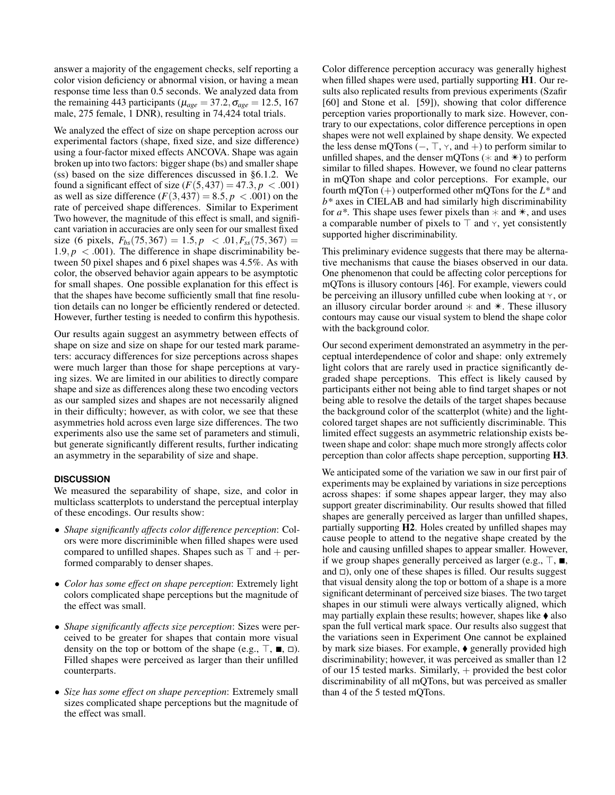answer a majority of the engagement checks, self reporting a color vision deficiency or abnormal vision, or having a mean response time less than 0.5 seconds. We analyzed data from the remaining 443 participants ( $\mu_{age} = 37.2$ ,  $\sigma_{age} = 12.5$ , 167 male, 275 female, 1 DNR), resulting in 74,424 total trials.

We analyzed the effect of size on shape perception across our experimental factors (shape, fixed size, and size difference) using a four-factor mixed effects ANCOVA. Shape was again broken up into two factors: bigger shape (bs) and smaller shape (ss) based on the size differences discussed in [§6.1.2.](#page-6-1) We found a significant effect of size  $(F(5, 437) = 47.3, p < .001)$ as well as size difference  $(F(3, 437) = 8.5, p < .001)$  on the rate of perceived shape differences. Similar to Experiment Two however, the magnitude of this effect is small, and significant variation in accuracies are only seen for our smallest fixed size (6 pixels,  $F_{bs}(75,367) = 1.5, p \lt 0.01, F_{ss}(75,367) =$  $1.9, p < .001$ ). The difference in shape discriminability between 50 pixel shapes and 6 pixel shapes was 4.5%. As with color, the observed behavior again appears to be asymptotic for small shapes. One possible explanation for this effect is that the shapes have become sufficiently small that fine resolution details can no longer be efficiently rendered or detected. However, further testing is needed to confirm this hypothesis.

Our results again suggest an asymmetry between effects of shape on size and size on shape for our tested mark parameters: accuracy differences for size perceptions across shapes were much larger than those for shape perceptions at varying sizes. We are limited in our abilities to directly compare shape and size as differences along these two encoding vectors as our sampled sizes and shapes are not necessarily aligned in their difficulty; however, as with color, we see that these asymmetries hold across even large size differences. The two experiments also use the same set of parameters and stimuli, but generate significantly different results, further indicating an asymmetry in the separability of size and shape.

# **DISCUSSION**

We measured the separability of shape, size, and color in multiclass scatterplots to understand the perceptual interplay of these encodings. Our results show:

- *Shape significantly affects color difference perception*: Colors were more discriminible when filled shapes were used compared to unfilled shapes. Shapes such as  $\top$  and + performed comparably to denser shapes.
- *Color has some effect on shape perception*: Extremely light colors complicated shape perceptions but the magnitude of the effect was small.
- *Shape significantly affects size perception*: Sizes were perceived to be greater for shapes that contain more visual density on the top or bottom of the shape (e.g.,  $\top$ ,  $\blacksquare$ ,  $\square$ ). Filled shapes were perceived as larger than their unfilled counterparts.
- *Size has some effect on shape perception*: Extremely small sizes complicated shape perceptions but the magnitude of the effect was small.

Color difference perception accuracy was generally highest when filled shapes were used, partially supporting H1. Our results also replicated results from previous experiments (Szafir [\[60\]](#page-12-2) and Stone et al. [\[59\]](#page-12-1)), showing that color difference perception varies proportionally to mark size. However, contrary to our expectations, color difference perceptions in open shapes were not well explained by shape density. We expected the less dense mQTons  $(-, \top, \gamma, \text{and } +)$  to perform similar to unfilled shapes, and the denser mQTons ( $*$  and  $*$ ) to perform similar to filled shapes. However, we found no clear patterns in mQTon shape and color perceptions. For example, our fourth mQTon (+) outperformed other mQTons for the *L\** and *b\** axes in CIELAB and had similarly high discriminability for  $a^*$ . This shape uses fewer pixels than  $*$  and  $*$ , and uses a comparable number of pixels to  $\top$  and  $\gamma$ , yet consistently supported higher discriminability.

This preliminary evidence suggests that there may be alternative mechanisms that cause the biases observed in our data. One phenomenon that could be affecting color perceptions for mQTons is illusory contours [\[46\]](#page-11-25). For example, viewers could be perceiving an illusory unfilled cube when looking at  $\gamma$ , or an illusory circular border around  $*$  and  $*$ . These illusory contours may cause our visual system to blend the shape color with the background color.

Our second experiment demonstrated an asymmetry in the perceptual interdependence of color and shape: only extremely light colors that are rarely used in practice significantly degraded shape perceptions. This effect is likely caused by participants either not being able to find target shapes or not being able to resolve the details of the target shapes because the background color of the scatterplot (white) and the lightcolored target shapes are not sufficiently discriminable. This limited effect suggests an asymmetric relationship exists between shape and color: shape much more strongly affects color perception than color affects shape perception, supporting H3.

We anticipated some of the variation we saw in our first pair of experiments may be explained by variations in size perceptions across shapes: if some shapes appear larger, they may also support greater discriminability. Our results showed that filled shapes are generally perceived as larger than unfilled shapes, partially supporting H2. Holes created by unfilled shapes may cause people to attend to the negative shape created by the hole and causing unfilled shapes to appear smaller. However, if we group shapes generally perceived as larger (e.g.,  $\top$ ,  $\blacksquare$ , and  $\Box$ ), only one of these shapes is filled. Our results suggest that visual density along the top or bottom of a shape is a more significant determinant of perceived size biases. The two target shapes in our stimuli were always vertically aligned, which may partially explain these results; however, shapes like  $\triangle$  also span the full vertical mark space. Our results also suggest that the variations seen in Experiment One cannot be explained by mark size biases. For example,  $\bullet$  generally provided high discriminability; however, it was perceived as smaller than 12 of our 15 tested marks. Similarly, + provided the best color discriminability of all mQTons, but was perceived as smaller than 4 of the 5 tested mQTons.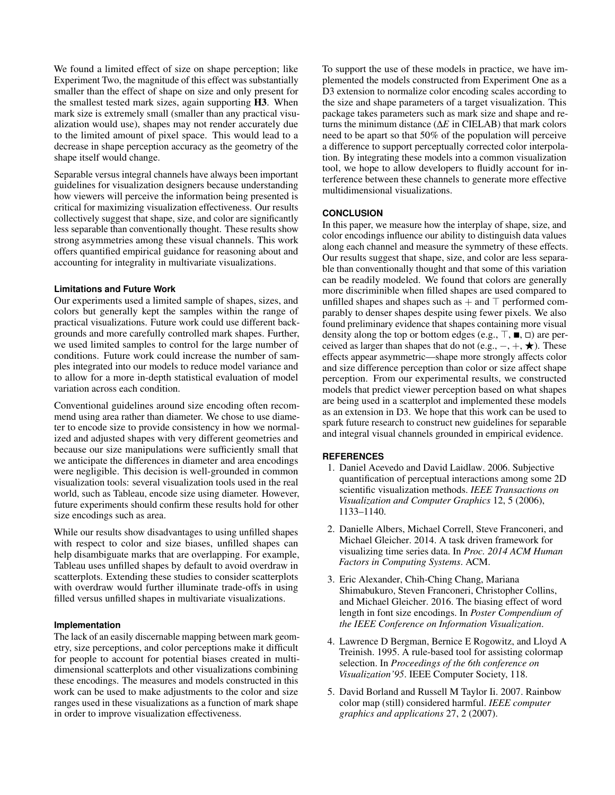We found a limited effect of size on shape perception; like Experiment Two, the magnitude of this effect was substantially smaller than the effect of shape on size and only present for the smallest tested mark sizes, again supporting H3. When mark size is extremely small (smaller than any practical visualization would use), shapes may not render accurately due to the limited amount of pixel space. This would lead to a decrease in shape perception accuracy as the geometry of the shape itself would change.

Separable versus integral channels have always been important guidelines for visualization designers because understanding how viewers will perceive the information being presented is critical for maximizing visualization effectiveness. Our results collectively suggest that shape, size, and color are significantly less separable than conventionally thought. These results show strong asymmetries among these visual channels. This work offers quantified empirical guidance for reasoning about and accounting for integrality in multivariate visualizations.

# **Limitations and Future Work**

Our experiments used a limited sample of shapes, sizes, and colors but generally kept the samples within the range of practical visualizations. Future work could use different backgrounds and more carefully controlled mark shapes. Further, we used limited samples to control for the large number of conditions. Future work could increase the number of samples integrated into our models to reduce model variance and to allow for a more in-depth statistical evaluation of model variation across each condition.

Conventional guidelines around size encoding often recommend using area rather than diameter. We chose to use diameter to encode size to provide consistency in how we normalized and adjusted shapes with very different geometries and because our size manipulations were sufficiently small that we anticipate the differences in diameter and area encodings were negligible. This decision is well-grounded in common visualization tools: several visualization tools used in the real world, such as Tableau, encode size using diameter. However, future experiments should confirm these results hold for other size encodings such as area.

While our results show disadvantages to using unfilled shapes with respect to color and size biases, unfilled shapes can help disambiguate marks that are overlapping. For example, Tableau uses unfilled shapes by default to avoid overdraw in scatterplots. Extending these studies to consider scatterplots with overdraw would further illuminate trade-offs in using filled versus unfilled shapes in multivariate visualizations.

# **Implementation**

The lack of an easily discernable mapping between mark geometry, size perceptions, and color perceptions make it difficult for people to account for potential biases created in multidimensional scatterplots and other visualizations combining these encodings. The measures and models constructed in this work can be used to make adjustments to the color and size ranges used in these visualizations as a function of mark shape in order to improve visualization effectiveness.

To support the use of these models in practice, we have implemented the models constructed from Experiment One as a D3 extension to normalize color encoding scales according to the size and shape parameters of a target visualization. This package takes parameters such as mark size and shape and returns the minimum distance (∆*E* in CIELAB) that mark colors need to be apart so that 50% of the population will perceive a difference to support perceptually corrected color interpolation. By integrating these models into a common visualization tool, we hope to allow developers to fluidly account for interference between these channels to generate more effective multidimensional visualizations.

# **CONCLUSION**

In this paper, we measure how the interplay of shape, size, and color encodings influence our ability to distinguish data values along each channel and measure the symmetry of these effects. Our results suggest that shape, size, and color are less separable than conventionally thought and that some of this variation can be readily modeled. We found that colors are generally more discriminible when filled shapes are used compared to unfilled shapes and shapes such as  $+$  and  $\top$  performed comparably to denser shapes despite using fewer pixels. We also found preliminary evidence that shapes containing more visual density along the top or bottom edges (e.g.,  $\top$ ,  $\blacksquare$ ,  $\square$ ) are perceived as larger than shapes that do not (e.g.,  $-, +, \star$ ). These effects appear asymmetric—shape more strongly affects color and size difference perception than color or size affect shape perception. From our experimental results, we constructed models that predict viewer perception based on what shapes are being used in a scatterplot and implemented these models as an extension in D3. We hope that this work can be used to spark future research to construct new guidelines for separable and integral visual channels grounded in empirical evidence.

# <span id="page-9-4"></span>**REFERENCES**

- 1. Daniel Acevedo and David Laidlaw. 2006. Subjective quantification of perceptual interactions among some 2D scientific visualization methods. *IEEE Transactions on Visualization and Computer Graphics* 12, 5 (2006), 1133–1140.
- <span id="page-9-0"></span>2. Danielle Albers, Michael Correll, Steve Franconeri, and Michael Gleicher. 2014. A task driven framework for visualizing time series data. In *Proc. 2014 ACM Human Factors in Computing Systems*. ACM.
- <span id="page-9-3"></span>3. Eric Alexander, Chih-Ching Chang, Mariana Shimabukuro, Steven Franconeri, Christopher Collins, and Michael Gleicher. 2016. The biasing effect of word length in font size encodings. In *Poster Compendium of the IEEE Conference on Information Visualization*.
- <span id="page-9-1"></span>4. Lawrence D Bergman, Bernice E Rogowitz, and Lloyd A Treinish. 1995. A rule-based tool for assisting colormap selection. In *Proceedings of the 6th conference on Visualization'95*. IEEE Computer Society, 118.
- <span id="page-9-2"></span>5. David Borland and Russell M Taylor Ii. 2007. Rainbow color map (still) considered harmful. *IEEE computer graphics and applications* 27, 2 (2007).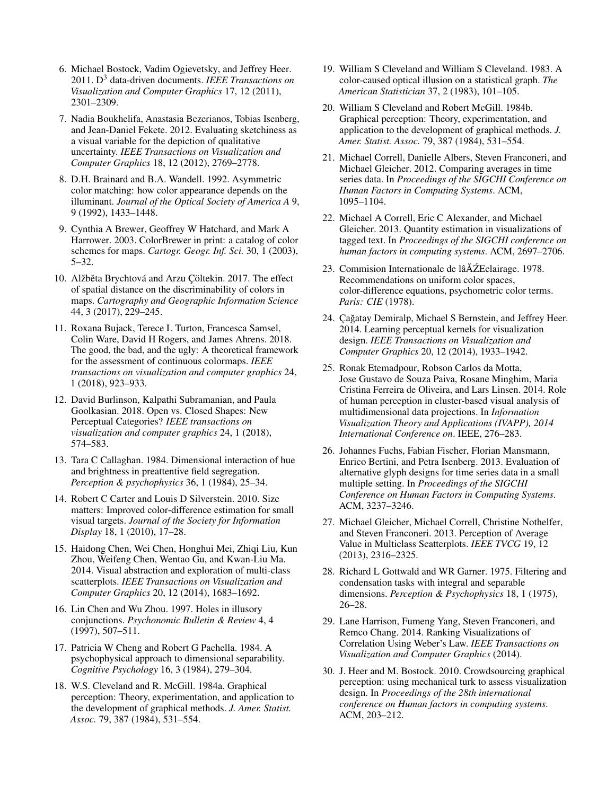- <span id="page-10-2"></span>6. Michael Bostock, Vadim Ogievetsky, and Jeffrey Heer. 2011. D<sup>3</sup> data-driven documents. *IEEE Transactions on Visualization and Computer Graphics* 17, 12 (2011), 2301–2309.
- <span id="page-10-7"></span>7. Nadia Boukhelifa, Anastasia Bezerianos, Tobias Isenberg, and Jean-Daniel Fekete. 2012. Evaluating sketchiness as a visual variable for the depiction of qualitative uncertainty. *IEEE Transactions on Visualization and Computer Graphics* 18, 12 (2012), 2769–2778.
- <span id="page-10-10"></span>8. D.H. Brainard and B.A. Wandell. 1992. Asymmetric color matching: how color appearance depends on the illuminant. *Journal of the Optical Society of America A* 9, 9 (1992), 1433–1448.
- <span id="page-10-12"></span>9. Cynthia A Brewer, Geoffrey W Hatchard, and Mark A Harrower. 2003. ColorBrewer in print: a catalog of color schemes for maps. *Cartogr. Geogr. Inf. Sci.* 30, 1 (2003), 5–32.
- <span id="page-10-23"></span>10. Alžběta Brychtová and Arzu Cöltekin. 2017. The effect of spatial distance on the discriminability of colors in maps. *Cartography and Geographic Information Science* 44, 3 (2017), 229–245.
- <span id="page-10-14"></span>11. Roxana Bujack, Terece L Turton, Francesca Samsel, Colin Ware, David H Rogers, and James Ahrens. 2018. The good, the bad, and the ugly: A theoretical framework for the assessment of continuous colormaps. *IEEE transactions on visualization and computer graphics* 24, 1 (2018), 923–933.
- <span id="page-10-9"></span>12. David Burlinson, Kalpathi Subramanian, and Paula Goolkasian. 2018. Open vs. Closed Shapes: New Perceptual Categories? *IEEE transactions on visualization and computer graphics* 24, 1 (2018), 574–583.
- <span id="page-10-19"></span>13. Tara C Callaghan. 1984. Dimensional interaction of hue and brightness in preattentive field segregation. *Perception & psychophysics* 36, 1 (1984), 25–34.
- <span id="page-10-11"></span>14. Robert C Carter and Louis D Silverstein. 2010. Size matters: Improved color-difference estimation for small visual targets. *Journal of the Society for Information Display* 18, 1 (2010), 17–28.
- <span id="page-10-17"></span>15. Haidong Chen, Wei Chen, Honghui Mei, Zhiqi Liu, Kun Zhou, Weifeng Chen, Wentao Gu, and Kwan-Liu Ma. 2014. Visual abstraction and exploration of multi-class scatterplots. *IEEE Transactions on Visualization and Computer Graphics* 20, 12 (2014), 1683–1692.
- <span id="page-10-22"></span>16. Lin Chen and Wu Zhou. 1997. Holes in illusory conjunctions. *Psychonomic Bulletin & Review* 4, 4 (1997), 507–511.
- <span id="page-10-20"></span>17. Patricia W Cheng and Robert G Pachella. 1984. A psychophysical approach to dimensional separability. *Cognitive Psychology* 16, 3 (1984), 279–304.
- <span id="page-10-3"></span>18. W.S. Cleveland and R. McGill. 1984a. Graphical perception: Theory, experimentation, and application to the development of graphical methods. *J. Amer. Statist. Assoc.* 79, 387 (1984), 531–554.
- <span id="page-10-1"></span>19. William S Cleveland and William S Cleveland. 1983. A color-caused optical illusion on a statistical graph. *The American Statistician* 37, 2 (1983), 101–105.
- <span id="page-10-15"></span>20. William S Cleveland and Robert McGill. 1984b. Graphical perception: Theory, experimentation, and application to the development of graphical methods. *J. Amer. Statist. Assoc.* 79, 387 (1984), 531–554.
- <span id="page-10-5"></span>21. Michael Correll, Danielle Albers, Steven Franconeri, and Michael Gleicher. 2012. Comparing averages in time series data. In *Proceedings of the SIGCHI Conference on Human Factors in Computing Systems*. ACM, 1095–1104.
- <span id="page-10-6"></span>22. Michael A Correll, Eric C Alexander, and Michael Gleicher. 2013. Quantity estimation in visualizations of tagged text. In *Proceedings of the SIGCHI conference on human factors in computing systems*. ACM, 2697–2706.
- <span id="page-10-13"></span>23. Commision Internationale de lâ $\Delta \angle$  Eclairage. 1978. Recommendations on uniform color spaces, color-difference equations, psychometric color terms. *Paris: CIE* (1978).
- <span id="page-10-21"></span>24. Çağatay Demiralp, Michael S Bernstein, and Jeffrey Heer. 2014. Learning perceptual kernels for visualization design. *IEEE Transactions on Visualization and Computer Graphics* 20, 12 (2014), 1933–1942.
- <span id="page-10-16"></span>25. Ronak Etemadpour, Robson Carlos da Motta, Jose Gustavo de Souza Paiva, Rosane Minghim, Maria Cristina Ferreira de Oliveira, and Lars Linsen. 2014. Role of human perception in cluster-based visual analysis of multidimensional data projections. In *Information Visualization Theory and Applications (IVAPP), 2014 International Conference on*. IEEE, 276–283.
- <span id="page-10-4"></span>26. Johannes Fuchs, Fabian Fischer, Florian Mansmann, Enrico Bertini, and Petra Isenberg. 2013. Evaluation of alternative glyph designs for time series data in a small multiple setting. In *Proceedings of the SIGCHI Conference on Human Factors in Computing Systems*. ACM, 3237–3246.
- <span id="page-10-18"></span>27. Michael Gleicher, Michael Correll, Christine Nothelfer, and Steven Franconeri. 2013. Perception of Average Value in Multiclass Scatterplots. *IEEE TVCG* 19, 12 (2013), 2316–2325.
- <span id="page-10-0"></span>28. Richard L Gottwald and WR Garner. 1975. Filtering and condensation tasks with integral and separable dimensions. *Perception & Psychophysics* 18, 1 (1975), 26–28.
- <span id="page-10-8"></span>29. Lane Harrison, Fumeng Yang, Steven Franconeri, and Remco Chang. 2014. Ranking Visualizations of Correlation Using Weber's Law. *IEEE Transactions on Visualization and Computer Graphics* (2014).
- <span id="page-10-24"></span>30. J. Heer and M. Bostock. 2010. Crowdsourcing graphical perception: using mechanical turk to assess visualization design. In *Proceedings of the 28th international conference on Human factors in computing systems*. ACM, 203–212.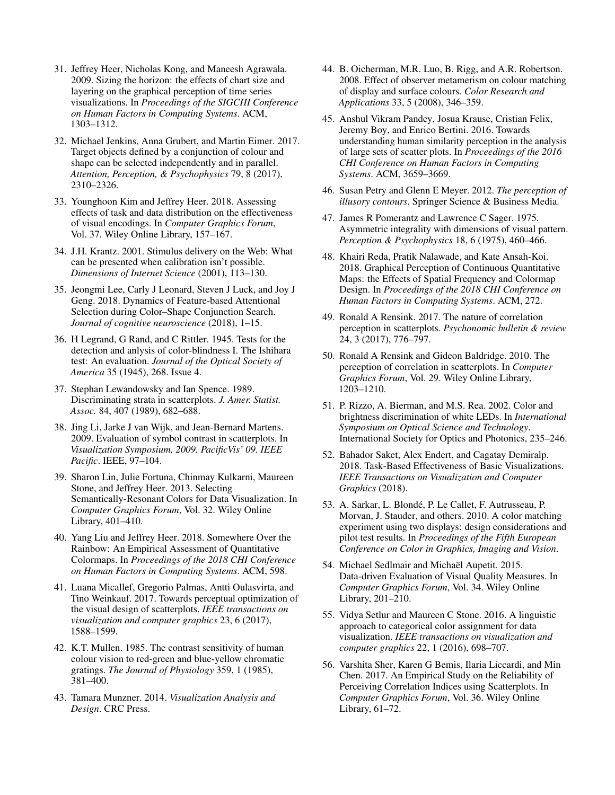- <span id="page-11-1"></span>31. Jeffrey Heer, Nicholas Kong, and Maneesh Agrawala. 2009. Sizing the horizon: the effects of chart size and layering on the graphical perception of time series visualizations. In *Proceedings of the SIGCHI Conference on Human Factors in Computing Systems*. ACM, 1303–1312.
- <span id="page-11-20"></span>32. Michael Jenkins, Anna Grubert, and Martin Eimer. 2017. Target objects defined by a conjunction of colour and shape can be selected independently and in parallel. *Attention, Perception, & Psychophysics* 79, 8 (2017), 2310–2326.
- <span id="page-11-23"></span>33. Younghoon Kim and Jeffrey Heer. 2018. Assessing effects of task and data distribution on the effectiveness of visual encodings. In *Computer Graphics Forum*, Vol. 37. Wiley Online Library, 157–167.
- <span id="page-11-5"></span>34. J.H. Krantz. 2001. Stimulus delivery on the Web: What can be presented when calibration isn't possible. *Dimensions of Internet Science* (2001), 113–130.
- <span id="page-11-21"></span>35. Jeongmi Lee, Carly J Leonard, Steven J Luck, and Joy J Geng. 2018. Dynamics of Feature-based Attentional Selection during Color–Shape Conjunction Search. *Journal of cognitive neuroscience* (2018), 1–15.
- <span id="page-11-24"></span>36. H Legrand, G Rand, and C Rittler. 1945. Tests for the detection and anlysis of color-blindness I. The Ishihara test: An evaluation. *Journal of the Optical Society of America* 35 (1945), 268. Issue 4.
- <span id="page-11-3"></span>37. Stephan Lewandowsky and Ian Spence. 1989. Discriminating strata in scatterplots. *J. Amer. Statist. Assoc.* 84, 407 (1989), 682–688.
- <span id="page-11-4"></span>38. Jing Li, Jarke J van Wijk, and Jean-Bernard Martens. 2009. Evaluation of symbol contrast in scatterplots. In *Visualization Symposium, 2009. PacificVis' 09. IEEE Pacific*. IEEE, 97–104.
- <span id="page-11-11"></span>39. Sharon Lin, Julie Fortuna, Chinmay Kulkarni, Maureen Stone, and Jeffrey Heer. 2013. Selecting Semantically-Resonant Colors for Data Visualization. In *Computer Graphics Forum*, Vol. 32. Wiley Online Library, 401–410.
- <span id="page-11-13"></span>40. Yang Liu and Jeffrey Heer. 2018. Somewhere Over the Rainbow: An Empirical Assessment of Quantitative Colormaps. In *Proceedings of the 2018 CHI Conference on Human Factors in Computing Systems*. ACM, 598.
- <span id="page-11-17"></span>41. Luana Micallef, Gregorio Palmas, Antti Oulasvirta, and Tino Weinkauf. 2017. Towards perceptual optimization of the visual design of scatterplots. *IEEE transactions on visualization and computer graphics* 23, 6 (2017), 1588–1599.
- <span id="page-11-6"></span>42. K.T. Mullen. 1985. The contrast sensitivity of human colour vision to red-green and blue-yellow chromatic gratings. *The Journal of Physiology* 359, 1 (1985), 381–400.
- <span id="page-11-22"></span>43. Tamara Munzner. 2014. *Visualization Analysis and Design*. CRC Press.
- <span id="page-11-7"></span>44. B. Oicherman, M.R. Luo, B. Rigg, and A.R. Robertson. 2008. Effect of observer metamerism on colour matching of display and surface colours. *Color Research and Applications* 33, 5 (2008), 346–359.
- <span id="page-11-18"></span>45. Anshul Vikram Pandey, Josua Krause, Cristian Felix, Jeremy Boy, and Enrico Bertini. 2016. Towards understanding human similarity perception in the analysis of large sets of scatter plots. In *Proceedings of the 2016 CHI Conference on Human Factors in Computing Systems*. ACM, 3659–3669.
- <span id="page-11-25"></span>46. Susan Petry and Glenn E Meyer. 2012. *The perception of illusory contours*. Springer Science & Business Media.
- <span id="page-11-19"></span>47. James R Pomerantz and Lawrence C Sager. 1975. Asymmetric integrality with dimensions of visual pattern. *Perception & Psychophysics* 18, 6 (1975), 460–466.
- <span id="page-11-10"></span>48. Khairi Reda, Pratik Nalawade, and Kate Ansah-Koi. 2018. Graphical Perception of Continuous Quantitative Maps: the Effects of Spatial Frequency and Colormap Design. In *Proceedings of the 2018 CHI Conference on Human Factors in Computing Systems*. ACM, 272.
- <span id="page-11-14"></span>49. Ronald A Rensink. 2017. The nature of correlation perception in scatterplots. *Psychonomic bulletin & review* 24, 3 (2017), 776–797.
- <span id="page-11-2"></span>50. Ronald A Rensink and Gideon Baldridge. 2010. The perception of correlation in scatterplots. In *Computer Graphics Forum*, Vol. 29. Wiley Online Library, 1203–1210.
- <span id="page-11-8"></span>51. P. Rizzo, A. Bierman, and M.S. Rea. 2002. Color and brightness discrimination of white LEDs. In *International Symposium on Optical Science and Technology*. International Society for Optics and Photonics, 235–246.
- <span id="page-11-0"></span>52. Bahador Saket, Alex Endert, and Cagatay Demiralp. 2018. Task-Based Effectiveness of Basic Visualizations. *IEEE Transactions on Visualization and Computer Graphics* (2018).
- <span id="page-11-9"></span>53. A. Sarkar, L. Blondé, P. Le Callet, F. Autrusseau, P. Morvan, J. Stauder, and others. 2010. A color matching experiment using two displays: design considerations and pilot test results. In *Proceedings of the Fifth European Conference on Color in Graphics, Imaging and Vision*.
- <span id="page-11-16"></span>54. Michael Sedlmair and Michaël Aupetit. 2015. Data-driven Evaluation of Visual Quality Measures. In *Computer Graphics Forum*, Vol. 34. Wiley Online Library, 201–210.
- <span id="page-11-12"></span>55. Vidya Setlur and Maureen C Stone. 2016. A linguistic approach to categorical color assignment for data visualization. *IEEE transactions on visualization and computer graphics* 22, 1 (2016), 698–707.
- <span id="page-11-15"></span>56. Varshita Sher, Karen G Bemis, Ilaria Liccardi, and Min Chen. 2017. An Empirical Study on the Reliability of Perceiving Correlation Indices using Scatterplots. In *Computer Graphics Forum*, Vol. 36. Wiley Online Library, 61–72.